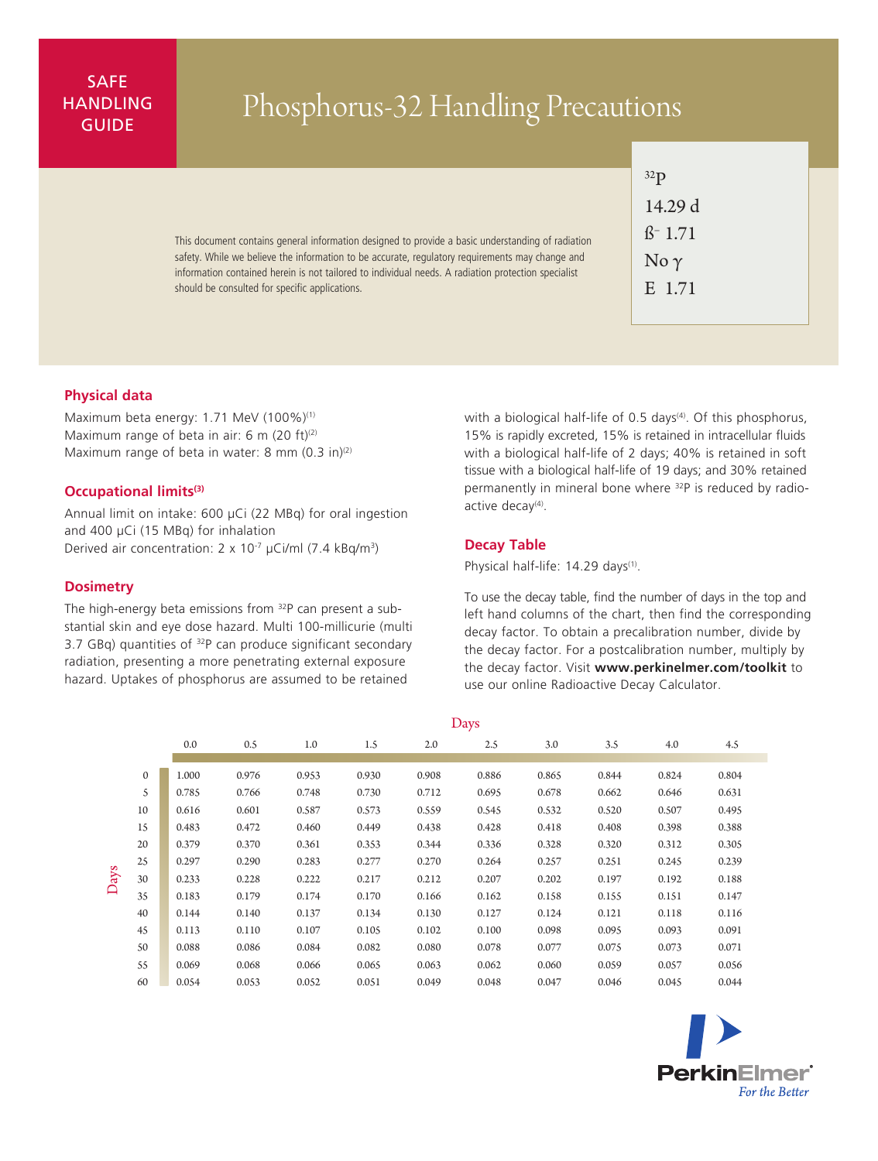# SAFE **HANDLING**

# ANDLING Phosphorus-32 Handling Precautions

This document contains general information designed to provide a basic understanding of radiation safety. While we believe the information to be accurate, regulatory requirements may change and information contained herein is not tailored to individual needs. A radiation protection specialist should be consulted for specific applications.

| 32 <sub>P</sub>     |  |  |  |  |  |  |  |  |  |
|---------------------|--|--|--|--|--|--|--|--|--|
| 14.29 d             |  |  |  |  |  |  |  |  |  |
| ß <sup>-</sup> 1.71 |  |  |  |  |  |  |  |  |  |
| No $\gamma$         |  |  |  |  |  |  |  |  |  |
| E 1.71              |  |  |  |  |  |  |  |  |  |
|                     |  |  |  |  |  |  |  |  |  |

## **Physical data**

Maximum beta energy: 1.71 MeV (100%)<sup>(1)</sup> Maximum range of beta in air: 6 m (20 ft) $(2)$ Maximum range of beta in water: 8 mm  $(0.3 \text{ in})^{(2)}$ 

### **Occupational limits(3)**

Annual limit on intake: 600 µCi (22 MBq) for oral ingestion and 400 µCi (15 MBq) for inhalation Derived air concentration:  $2 \times 10^{-7}$  µCi/ml (7.4 kBq/m<sup>3</sup>)

#### **Dosimetry**

The high-energy beta emissions from <sup>32</sup>P can present a substantial skin and eye dose hazard. Multi 100-millicurie (multi 3.7 GBq) quantities of  $32P$  can produce significant secondary radiation, presenting a more penetrating external exposure hazard. Uptakes of phosphorus are assumed to be retained

with a biological half-life of 0.5 days<sup>(4)</sup>. Of this phosphorus, 15% is rapidly excreted, 15% is retained in intracellular fluids with a biological half-life of 2 days; 40% is retained in soft tissue with a biological half-life of 19 days; and 30% retained permanently in mineral bone where <sup>32</sup>P is reduced by radioactive decay<sup>(4)</sup>.

#### **Decay Table**

Physical half-life: 14.29 days<sup>(1)</sup>.

To use the decay table, find the number of days in the top and left hand columns of the chart, then find the corresponding decay factor. To obtain a precalibration number, divide by the decay factor. For a postcalibration number, multiply by the decay factor. Visit **www.perkinelmer.com/toolkit** to use our online Radioactive Decay Calculator.

|      |              | Days  |       |       |       |       |       |       |       |       |       |
|------|--------------|-------|-------|-------|-------|-------|-------|-------|-------|-------|-------|
|      |              | 0.0   | 0.5   | 1.0   | 1.5   | 2.0   | 2.5   | 3.0   | 3.5   | 4.0   | 4.5   |
|      |              |       |       |       |       |       |       |       |       |       |       |
| Days | $\mathbf{0}$ | 1.000 | 0.976 | 0.953 | 0.930 | 0.908 | 0.886 | 0.865 | 0.844 | 0.824 | 0.804 |
|      | 5            | 0.785 | 0.766 | 0.748 | 0.730 | 0.712 | 0.695 | 0.678 | 0.662 | 0.646 | 0.631 |
|      | 10           | 0.616 | 0.601 | 0.587 | 0.573 | 0.559 | 0.545 | 0.532 | 0.520 | 0.507 | 0.495 |
|      | 15           | 0.483 | 0.472 | 0.460 | 0.449 | 0.438 | 0.428 | 0.418 | 0.408 | 0.398 | 0.388 |
|      | 20           | 0.379 | 0.370 | 0.361 | 0.353 | 0.344 | 0.336 | 0.328 | 0.320 | 0.312 | 0.305 |
|      | 25           | 0.297 | 0.290 | 0.283 | 0.277 | 0.270 | 0.264 | 0.257 | 0.251 | 0.245 | 0.239 |
|      | 30           | 0.233 | 0.228 | 0.222 | 0.217 | 0.212 | 0.207 | 0.202 | 0.197 | 0.192 | 0.188 |
|      | 35           | 0.183 | 0.179 | 0.174 | 0.170 | 0.166 | 0.162 | 0.158 | 0.155 | 0.151 | 0.147 |
|      | 40           | 0.144 | 0.140 | 0.137 | 0.134 | 0.130 | 0.127 | 0.124 | 0.121 | 0.118 | 0.116 |
|      | 45           | 0.113 | 0.110 | 0.107 | 0.105 | 0.102 | 0.100 | 0.098 | 0.095 | 0.093 | 0.091 |
|      | 50           | 0.088 | 0.086 | 0.084 | 0.082 | 0.080 | 0.078 | 0.077 | 0.075 | 0.073 | 0.071 |
|      | 55           | 0.069 | 0.068 | 0.066 | 0.065 | 0.063 | 0.062 | 0.060 | 0.059 | 0.057 | 0.056 |
|      | 60           | 0.054 | 0.053 | 0.052 | 0.051 | 0.049 | 0.048 | 0.047 | 0.046 | 0.045 | 0.044 |